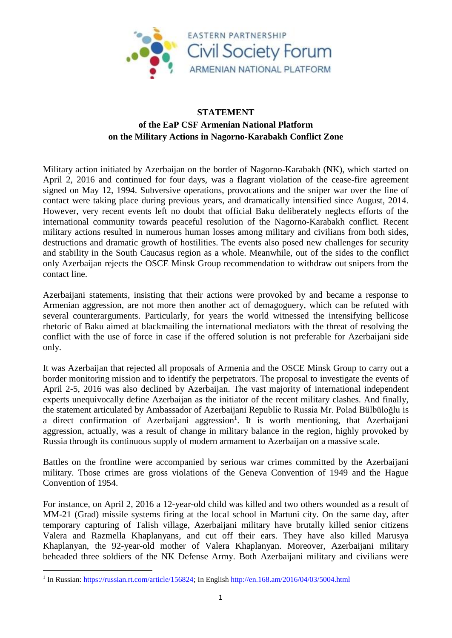

## **STATEMENT of the EaP CSF Armenian National Platform on the Military Actions in Nagorno-Karabakh Conflict Zone**

Military action initiated by Azerbaijan on the border of Nagorno-Karabakh (NK), which started on April 2, 2016 and continued for four days, was a flagrant violation of the cease-fire agreement signed on May 12, 1994. Subversive operations, provocations and the sniper war over the line of contact were taking place during previous years, and dramatically intensified since August, 2014. However, very recent events left no doubt that official Baku deliberately neglects efforts of the international community towards peaceful resolution of the Nagorno-Karabakh conflict. Recent military actions resulted in numerous human losses among military and civilians from both sides, destructions and dramatic growth of hostilities. The events also posed new challenges for security and stability in the South Caucasus region as a whole. Meanwhile, out of the sides to the conflict only Azerbaijan rejects the OSCE Minsk Group recommendation to withdraw out snipers from the contact line.

Azerbaijani statements, insisting that their actions were provoked by and became a response to Armenian aggression, are not more then another act of demagoguery, which can be refuted with several counterarguments. Particularly, for years the world witnessed the intensifying bellicose rhetoric of Baku aimed at blackmailing the international mediators with the threat of resolving the conflict with the use of force in case if the offered solution is not preferable for Azerbaijani side only.

It was Azerbaijan that rejected all proposals of Armenia and the OSCE Minsk Group to carry out a border monitoring mission and to identify the perpetrators. The proposal to investigate the events of April 2-5, 2016 was also declined by Azerbaijan. The vast majority of international independent experts unequivocally define Azerbaijan as the initiator of the recent military clashes. And finally, the statement articulated by Ambassador of Azerbaijani Republic to Russia Mr. Polad Bülbüloğlu is a direct confirmation of Azerbaijani aggression<sup>1</sup>. It is worth mentioning, that Azerbaijani aggression, actually, was a result of change in military balance in the region, highly provoked by Russia through its continuous supply of modern armament to Azerbaijan on a massive scale.

Battles on the frontline were accompanied by serious war crimes committed by the Azerbaijani military. Those crimes are gross violations of the Geneva Convention of 1949 and the Hague Convention of 1954.

For instance, on April 2, 2016 a 12-year-old child was killed and two others wounded as a result of MM-21 (Grad) missile systems firing at the local school in Martuni city. On the same day, after temporary capturing of Talish village, Azerbaijani military have brutally killed senior citizens Valera and Razmella Khaplanyans, and cut off their ears. They have also killed Marusya Khaplanyan, the 92-year-old mother of Valera Khaplanyan. Moreover, Azerbaijani military beheaded three soldiers of the NK Defense Army. Both Azerbaijani military and civilians were

1

<sup>&</sup>lt;sup>1</sup> In Russian: [https://russian.rt.com/article/156824;](https://russian.rt.com/article/156824) In English<http://en.168.am/2016/04/03/5004.html>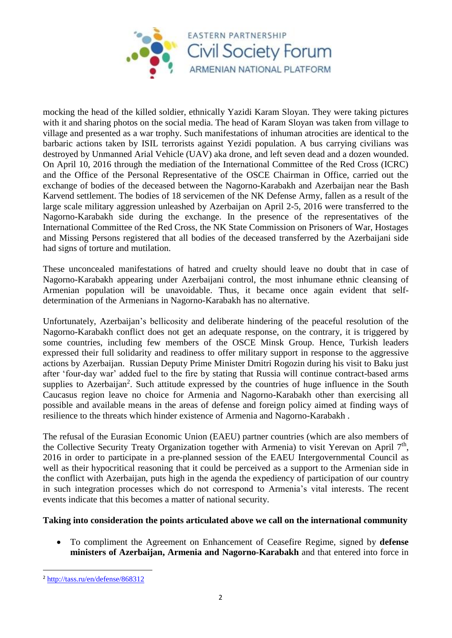

mocking the head of the killed soldier, ethnically Yazidi Karam Sloyan. They were taking pictures with it and sharing photos on the social media. The head of Karam Sloyan was taken from village to village and presented as a war trophy. Such manifestations of inhuman atrocities are identical to the barbaric actions taken by ISIL terrorists against Yezidi population. A bus carrying civilians was destroyed by Unmanned Arial Vehicle (UAV) aka drone, and left seven dead and a dozen wounded. On April 10, 2016 through the mediation of the International Committee of the Red Cross (ICRC) and the Office of the Personal Representative of the OSCE Chairman in Office, carried out the exchange of bodies of the deceased between the Nagorno-Karabakh and Azerbaijan near the Bash Karvend settlement. The bodies of 18 servicemen of the NK Defense Army, fallen as a result of the large scale military aggression unleashed by Azerbaijan on April 2-5, 2016 were transferred to the Nagorno-Karabakh side during the exchange. In the presence of the representatives of the International Committee of the Red Cross, the NK State Commission on Prisoners of War, Hostages and Missing Persons registered that all bodies of the deceased transferred by the Azerbaijani side had signs of torture and mutilation.

These unconcealed manifestations of hatred and cruelty should leave no doubt that in case of Nagorno-Karabakh appearing under Azerbaijani control, the most inhumane ethnic cleansing of Armenian population will be unavoidable. Thus, it became once again evident that selfdetermination of the Armenians in Nagorno-Karabakh has no alternative.

Unfortunately, Azerbaijan's bellicosity and deliberate hindering of the peaceful resolution of the Nagorno-Karabakh conflict does not get an adequate response, on the contrary, it is triggered by some countries, including few members of the OSCE Minsk Group. Hence, Turkish leaders expressed their full solidarity and readiness to offer military support in response to the aggressive actions by Azerbaijan. Russian Deputy Prime Minister Dmitri Rogozin during his visit to Baku just after 'four-day war' added fuel to the fire by stating that Russia will continue contract-based arms supplies to Azerbaijan<sup>2</sup>. Such attitude expressed by the countries of huge influence in the South Caucasus region leave no choice for Armenia and Nagorno-Karabakh other than exercising all possible and available means in the areas of defense and foreign policy aimed at finding ways of resilience to the threats which hinder existence of Armenia and Nagorno-Karabakh .

The refusal of the Eurasian Economic Union (EAEU) partner countries (which are also members of the Collective Security Treaty Organization together with Armenia) to visit Yerevan on April  $7<sup>th</sup>$ , 2016 in order to participate in a pre-planned session of the EAEU Intergovernmental Council as well as their hypocritical reasoning that it could be perceived as a support to the Armenian side in the conflict with Azerbaijan, puts high in the agenda the expediency of participation of our country in such integration processes which do not correspond to Armenia's vital interests. The recent events indicate that this becomes a matter of national security.

## **Taking into consideration the points articulated above we call on the international community**

 To compliment the Agreement on Enhancement of Ceasefire Regime, signed by **defense ministers of Azerbaijan, Armenia and Nagorno-Karabakh** and that entered into force in

**<sup>.</sup>** <sup>2</sup> <http://tass.ru/en/defense/868312>